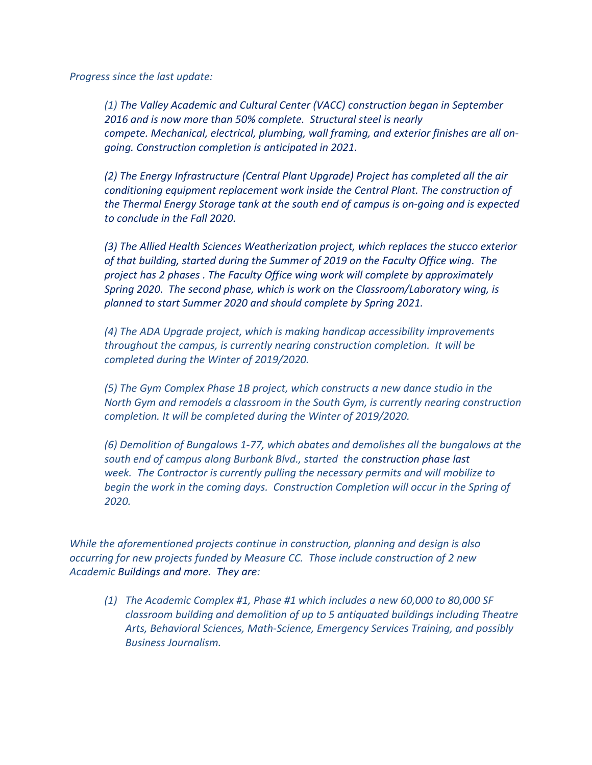*Progress since the last update:*

*(1) The Valley Academic and Cultural Center (VACC) construction began in September 2016 and is now more than 50% complete. Structural steel is nearly compete. Mechanical, electrical, plumbing, wall framing, and exterior finishes are all ongoing. Construction completion is anticipated in 2021.*

*(2) The Energy Infrastructure (Central Plant Upgrade) Project has completed all the air conditioning equipment replacement work inside the Central Plant. The construction of the Thermal Energy Storage tank at the south end of campus is on-going and is expected to conclude in the Fall 2020.*

*(3) The Allied Health Sciences Weatherization project, which replaces the stucco exterior of that building, started during the Summer of 2019 on the Faculty Office wing. The project has 2 phases . The Faculty Office wing work will complete by approximately Spring 2020. The second phase, which is work on the Classroom/Laboratory wing, is planned to start Summer 2020 and should complete by Spring 2021.*

*(4) The ADA Upgrade project, which is making handicap accessibility improvements throughout the campus, is currently nearing construction completion. It will be completed during the Winter of 2019/2020.*

*(5) The Gym Complex Phase 1B project, which constructs a new dance studio in the North Gym and remodels a classroom in the South Gym, is currently nearing construction completion. It will be completed during the Winter of 2019/2020.*

*(6) Demolition of Bungalows 1-77, which abates and demolishes all the bungalows at the south end of campus along Burbank Blvd., started the construction phase last week. The Contractor is currently pulling the necessary permits and will mobilize to begin the work in the coming days. Construction Completion will occur in the Spring of 2020.*

*While the aforementioned projects continue in construction, planning and design is also occurring for new projects funded by Measure CC. Those include construction of 2 new Academic Buildings and more. They are:*

*(1) The Academic Complex #1, Phase #1 which includes a new 60,000 to 80,000 SF classroom building and demolition of up to 5 antiquated buildings including Theatre Arts, Behavioral Sciences, Math-Science, Emergency Services Training, and possibly Business Journalism.*